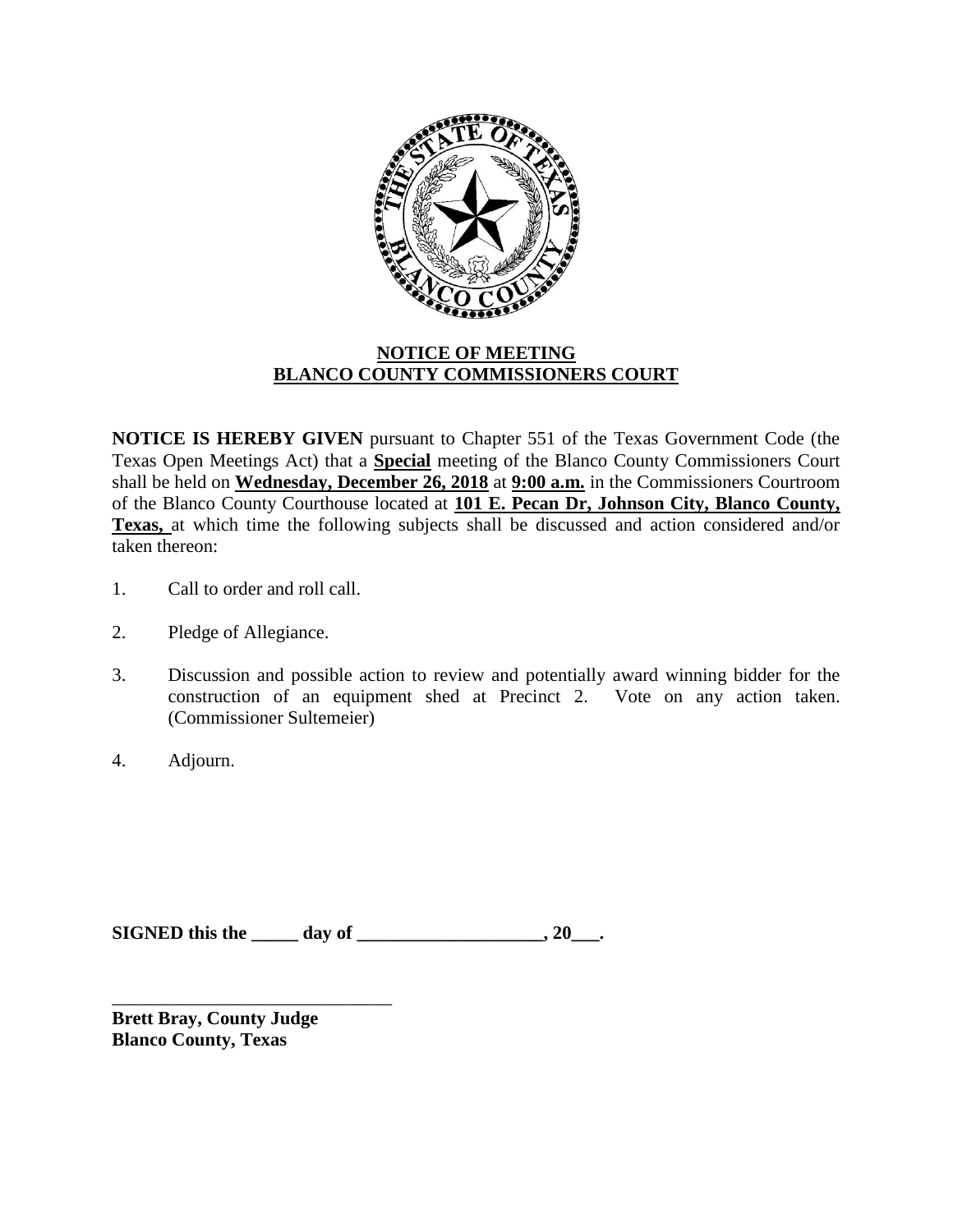

## **NOTICE OF MEETING BLANCO COUNTY COMMISSIONERS COURT**

**NOTICE IS HEREBY GIVEN** pursuant to Chapter 551 of the Texas Government Code (the Texas Open Meetings Act) that a **Special** meeting of the Blanco County Commissioners Court shall be held on **Wednesday, December 26, 2018** at **9:00 a.m.** in the Commissioners Courtroom of the Blanco County Courthouse located at **101 E. Pecan Dr, Johnson City, Blanco County, Texas,** at which time the following subjects shall be discussed and action considered and/or taken thereon:

- 1. Call to order and roll call.
- 2. Pledge of Allegiance.
- 3. Discussion and possible action to review and potentially award winning bidder for the construction of an equipment shed at Precinct 2. Vote on any action taken. (Commissioner Sultemeier)
- 4. Adjourn.

**SIGNED this the \_\_\_\_\_ day of \_\_\_\_\_\_\_\_\_\_\_\_\_\_\_\_\_\_\_\_, 20\_\_\_.**

**Brett Bray, County Judge Blanco County, Texas**

\_\_\_\_\_\_\_\_\_\_\_\_\_\_\_\_\_\_\_\_\_\_\_\_\_\_\_\_\_\_